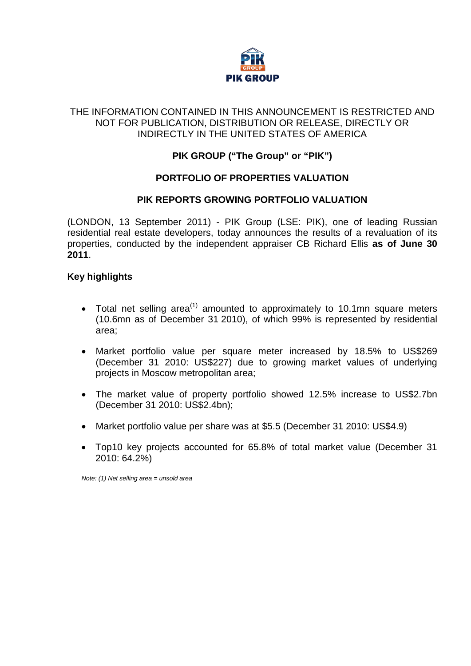

#### THE INFORMATION CONTAINED IN THIS ANNOUNCEMENT IS RESTRICTED AND NOT FOR PUBLICATION, DISTRIBUTION OR RELEASE, DIRECTLY OR INDIRECTLY IN THE UNITED STATES OF AMERICA

# **PIK GROUP ("The Group" or "PIK")**

## **PORTFOLIO OF PROPERTIES VALUATION**

## **PIK REPORTS GROWING PORTFOLIO VALUATION**

(LONDON, 13 September 2011) - PIK Group (LSE: PIK), one of leading Russian residential real estate developers, today announces the results of a revaluation of its properties, conducted by the independent appraiser CB Richard Ellis **as of June 30 2011**.

#### **Key highlights**

- Total net selling area<sup>(1)</sup> amounted to approximately to 10.1mn square meters (10.6mn as of December 31 2010), of which 99% is represented by residential area;
- Market portfolio value per square meter increased by 18.5% to US\$269 (December 31 2010: US\$227) due to growing market values of underlying projects in Moscow metropolitan area;
- The market value of property portfolio showed 12.5% increase to US\$2.7bn (December 31 2010: US\$2.4bn);
- Market portfolio value per share was at \$5.5 (December 31 2010: US\$4.9)
- Top10 key projects accounted for 65.8% of total market value (December 31 2010: 64.2%)

*Note: (1) Net selling area = unsold area*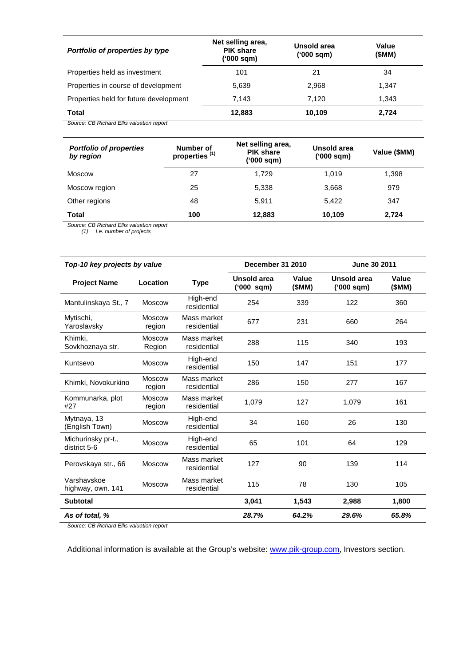| Portfolio of properties by type        | Net selling area,<br><b>PIK share</b><br>('000 sqm) | Unsold area<br>('000 sqm) | Value<br>(SMM) |  |
|----------------------------------------|-----------------------------------------------------|---------------------------|----------------|--|
| Properties held as investment          | 101                                                 | 21                        | 34             |  |
| Properties in course of development    | 5,639                                               | 2,968                     | 1.347          |  |
| Properties held for future development | 7.143                                               | 7.120                     | 1,343          |  |
| Total                                  | 12,883                                              | 10,109                    | 2,724          |  |

*Source: CB Richard Ellis valuation report*

| <b>Portfolio of properties</b><br>by region | Number of<br>properties <sup>(1)</sup> | Net selling area,<br><b>PIK share</b><br>('000 sqm) | Unsold area<br>(000 sqm) | Value (\$MM) |
|---------------------------------------------|----------------------------------------|-----------------------------------------------------|--------------------------|--------------|
| Moscow                                      | 27                                     | 1,729                                               | 1,019                    | 1,398        |
| Moscow region                               | 25                                     | 5,338                                               | 3,668                    | 979          |
| Other regions                               | 48                                     | 5.911                                               | 5.422                    | 347          |
| <b>Total</b>                                | 100                                    | 12,883                                              | 10,109                   | 2,724        |

*Source: CB Richard Ellis valuation report*

*(1) I.e. number of projects*

| Top-10 key projects by value       |                         | December 31 2010           |                           | June 30 2011   |                           |                 |
|------------------------------------|-------------------------|----------------------------|---------------------------|----------------|---------------------------|-----------------|
| <b>Project Name</b>                | Location                | <b>Type</b>                | Unsold area<br>('000 sqm) | Value<br>(SMM) | Unsold area<br>('000 sqm) | Value<br>(\$MM) |
| Mantulinskaya St., 7               | <b>Moscow</b>           | High-end<br>residential    | 254                       | 339            | 122                       | 360             |
| Mytischi,<br>Yaroslavsky           | <b>Moscow</b><br>region | Mass market<br>residential | 677                       | 231            | 660                       | 264             |
| Khimki.<br>Sovkhoznaya str.        | <b>Moscow</b><br>Region | Mass market<br>residential | 288                       | 115            | 340                       | 193             |
| Kuntsevo                           | <b>Moscow</b>           | High-end<br>residential    | 150                       | 147            | 151                       | 177             |
| Khimki, Novokurkino                | <b>Moscow</b><br>region | Mass market<br>residential | 286                       | 150            | 277                       | 167             |
| Kommunarka, plot<br>#27            | <b>Moscow</b><br>region | Mass market<br>residential | 1,079                     | 127            | 1.079                     | 161             |
| Mytnaya, 13<br>(English Town)      | <b>Moscow</b>           | High-end<br>residential    | 34                        | 160            | 26                        | 130             |
| Michurinsky pr-t.,<br>district 5-6 | <b>Moscow</b>           | High-end<br>residential    | 65                        | 101            | 64                        | 129             |
| Perovskaya str., 66                | <b>Moscow</b>           | Mass market<br>residential | 127                       | 90             | 139                       | 114             |
| Varshavskoe<br>highway, own. 141   | Moscow                  | Mass market<br>residential | 115                       | 78             | 130                       | 105             |
| <b>Subtotal</b>                    |                         |                            | 3,041                     | 1,543          | 2,988                     | 1,800           |
| As of total, %                     |                         |                            | 28.7%                     | 64.2%          | 29.6%                     | 65.8%           |

*Source: CB Richard Ellis valuation report*

Additional information is available at the Group's website: [www.pik-group.com,](http://www.pik-group.com/) Investors section.